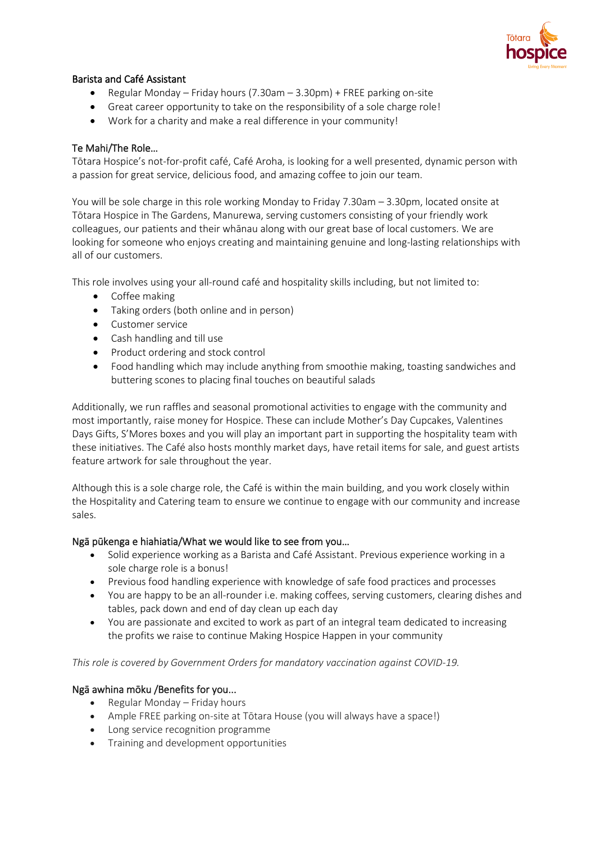

# Barista and Café Assistant

- Regular Monday Friday hours (7.30am 3.30pm) + FREE parking on-site
- Great career opportunity to take on the responsibility of a sole charge role!
- Work for a charity and make a real difference in your community!

## Te Mahi/The Role…

Tōtara Hospice's not-for-profit café, Café Aroha, is looking for a well presented, dynamic person with a passion for great service, delicious food, and amazing coffee to join our team.

You will be sole charge in this role working Monday to Friday 7.30am – 3.30pm, located onsite at Tōtara Hospice in The Gardens, Manurewa, serving customers consisting of your friendly work colleagues, our patients and their whānau along with our great base of local customers. We are looking for someone who enjoys creating and maintaining genuine and long-lasting relationships with all of our customers.

This role involves using your all-round café and hospitality skills including, but not limited to:

- Coffee making
- Taking orders (both online and in person)
- Customer service
- Cash handling and till use
- Product ordering and stock control
- Food handling which may include anything from smoothie making, toasting sandwiches and buttering scones to placing final touches on beautiful salads

Additionally, we run raffles and seasonal promotional activities to engage with the community and most importantly, raise money for Hospice. These can include Mother's Day Cupcakes, Valentines Days Gifts, S'Mores boxes and you will play an important part in supporting the hospitality team with these initiatives. The Café also hosts monthly market days, have retail items for sale, and guest artists feature artwork for sale throughout the year.

Although this is a sole charge role, the Café is within the main building, and you work closely within the Hospitality and Catering team to ensure we continue to engage with our community and increase sales.

#### Ngā pūkenga e hiahiatia/What we would like to see from you…

- Solid experience working as a Barista and Café Assistant. Previous experience working in a sole charge role is a bonus!
- Previous food handling experience with knowledge of safe food practices and processes
- You are happy to be an all-rounder i.e. making coffees, serving customers, clearing dishes and tables, pack down and end of day clean up each day
- You are passionate and excited to work as part of an integral team dedicated to increasing the profits we raise to continue Making Hospice Happen in your community

#### *This role is covered by Government Orders for mandatory vaccination against COVID-19.*

#### Ngā awhina mōku /Benefits for you...

- Regular Monday Friday hours
- Ample FREE parking on-site at Tōtara House (you will always have a space!)
- Long service recognition programme
- Training and development opportunities